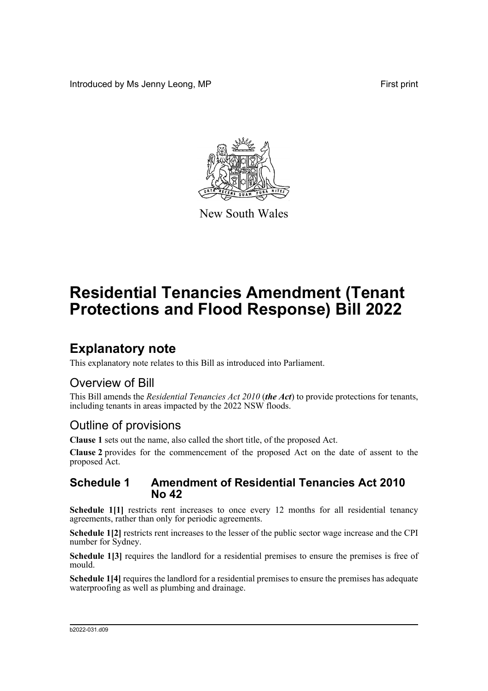Introduced by Ms Jenny Leong, MP First print



New South Wales

# **Residential Tenancies Amendment (Tenant Protections and Flood Response) Bill 2022**

## **Explanatory note**

This explanatory note relates to this Bill as introduced into Parliament.

### Overview of Bill

This Bill amends the *Residential Tenancies Act 2010* (*the Act*) to provide protections for tenants, including tenants in areas impacted by the 2022 NSW floods.

### Outline of provisions

**Clause 1** sets out the name, also called the short title, of the proposed Act.

**Clause 2** provides for the commencement of the proposed Act on the date of assent to the proposed Act.

#### **Schedule 1 Amendment of Residential Tenancies Act 2010 No 42**

Schedule 1<sup>[1]</sup> restricts rent increases to once every 12 months for all residential tenancy agreements, rather than only for periodic agreements.

**Schedule 1[2]** restricts rent increases to the lesser of the public sector wage increase and the CPI number for Sydney.

Schedule 1<sup>[3]</sup> requires the landlord for a residential premises to ensure the premises is free of mould.

**Schedule 1[4]** requires the landlord for a residential premises to ensure the premises has adequate waterproofing as well as plumbing and drainage.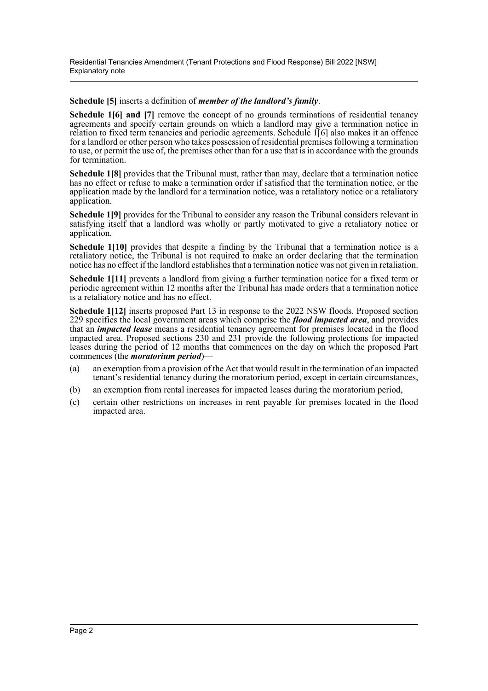#### **Schedule [5]** inserts a definition of *member of the landlord's family*.

**Schedule 1161 and 171** remove the concept of no grounds terminations of residential tenancy agreements and specify certain grounds on which a landlord may give a termination notice in relation to fixed term tenancies and periodic agreements. Schedule 1[6] also makes it an offence for a landlord or other person who takes possession of residential premises following a termination to use, or permit the use of, the premises other than for a use that is in accordance with the grounds for termination.

**Schedule 1[8]** provides that the Tribunal must, rather than may, declare that a termination notice has no effect or refuse to make a termination order if satisfied that the termination notice, or the application made by the landlord for a termination notice, was a retaliatory notice or a retaliatory application.

**Schedule 1[9]** provides for the Tribunal to consider any reason the Tribunal considers relevant in satisfying itself that a landlord was wholly or partly motivated to give a retaliatory notice or application.

**Schedule 1[10]** provides that despite a finding by the Tribunal that a termination notice is a retaliatory notice, the Tribunal is not required to make an order declaring that the termination notice has no effect if the landlord establishes that a termination notice was not given in retaliation.

**Schedule 1[11]** prevents a landlord from giving a further termination notice for a fixed term or periodic agreement within 12 months after the Tribunal has made orders that a termination notice is a retaliatory notice and has no effect.

**Schedule 1[12]** inserts proposed Part 13 in response to the 2022 NSW floods. Proposed section 229 specifies the local government areas which comprise the *flood impacted area*, and provides that an *impacted lease* means a residential tenancy agreement for premises located in the flood impacted area. Proposed sections 230 and 231 provide the following protections for impacted leases during the period of 12 months that commences on the day on which the proposed Part commences (the *moratorium period*)—

- (a) an exemption from a provision of the Act that would result in the termination of an impacted tenant's residential tenancy during the moratorium period, except in certain circumstances,
- (b) an exemption from rental increases for impacted leases during the moratorium period,
- (c) certain other restrictions on increases in rent payable for premises located in the flood impacted area.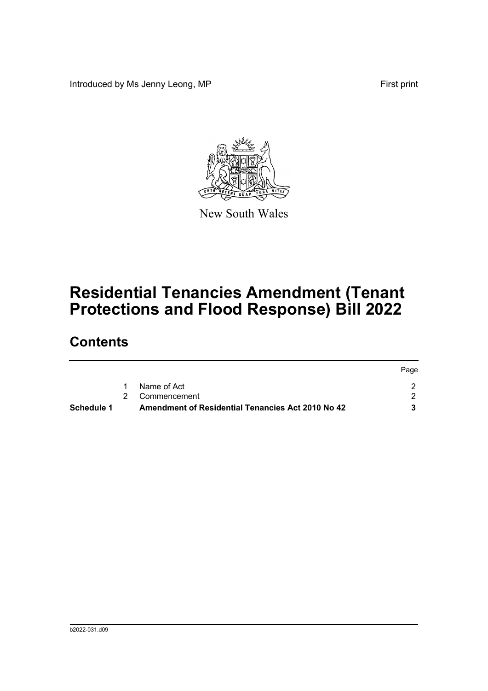Introduced by Ms Jenny Leong, MP First print



New South Wales

# **Residential Tenancies Amendment (Tenant Protections and Flood Response) Bill 2022**

## **Contents**

| Schedule 1 | Amendment of Residential Tenancies Act 2010 No 42 |      |
|------------|---------------------------------------------------|------|
|            | 2 Commencement                                    |      |
|            | Name of Act                                       |      |
|            |                                                   | Page |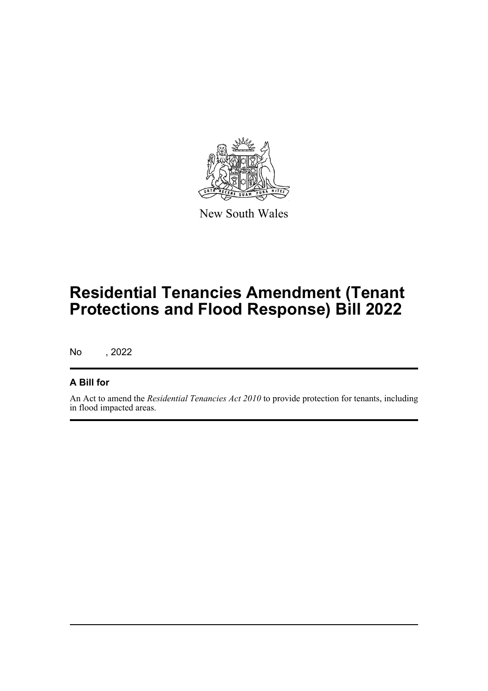

New South Wales

## **Residential Tenancies Amendment (Tenant Protections and Flood Response) Bill 2022**

No , 2022

#### **A Bill for**

An Act to amend the *Residential Tenancies Act 2010* to provide protection for tenants, including in flood impacted areas.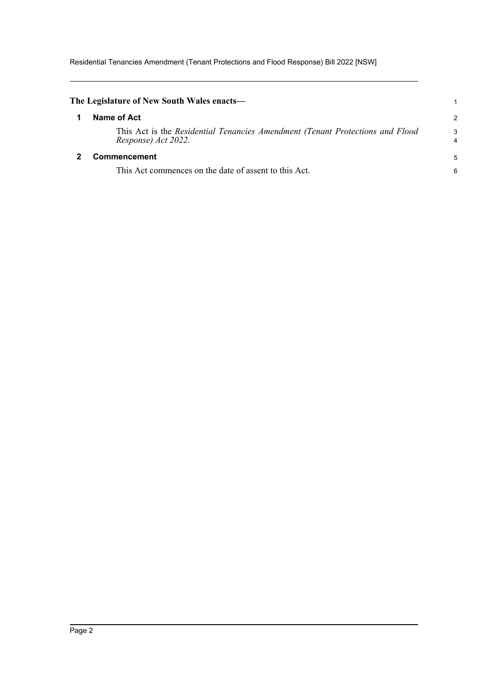Residential Tenancies Amendment (Tenant Protections and Flood Response) Bill 2022 [NSW]

<span id="page-4-1"></span><span id="page-4-0"></span>

| The Legislature of New South Wales enacts—                                                           |        |
|------------------------------------------------------------------------------------------------------|--------|
| Name of Act                                                                                          | 2      |
| This Act is the Residential Tenancies Amendment (Tenant Protections and Flood<br>Response) Act 2022. | 3<br>4 |
| Commencement                                                                                         | 5      |
| This Act commences on the date of assent to this Act.                                                | 6      |
|                                                                                                      |        |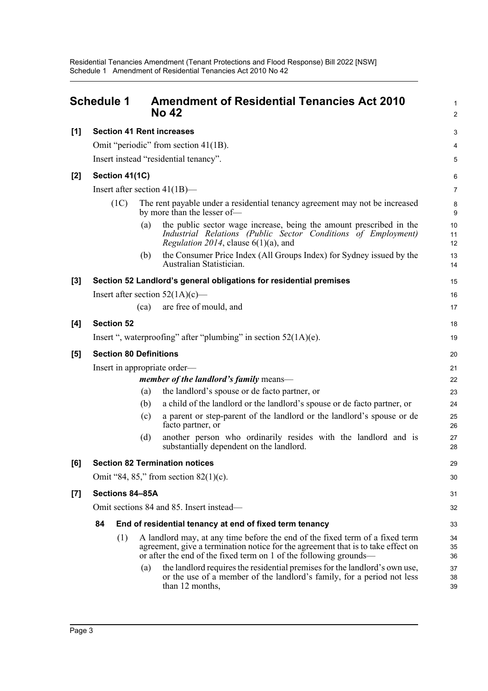<span id="page-5-0"></span>

|       | <b>Schedule 1</b>                |                   | <b>Amendment of Residential Tenancies Act 2010</b><br><b>No 42</b>                                                                                                                                                                    | $\mathbf{1}$<br>$\overline{c}$ |
|-------|----------------------------------|-------------------|---------------------------------------------------------------------------------------------------------------------------------------------------------------------------------------------------------------------------------------|--------------------------------|
| [1]   | <b>Section 41 Rent increases</b> |                   |                                                                                                                                                                                                                                       | $\ensuremath{\mathsf{3}}$      |
|       |                                  |                   | Omit "periodic" from section 41(1B).                                                                                                                                                                                                  | 4                              |
|       |                                  |                   | Insert instead "residential tenancy".                                                                                                                                                                                                 | 5                              |
| [2]   | Section 41(1C)                   |                   |                                                                                                                                                                                                                                       | 6                              |
|       |                                  |                   | Insert after section $41(1B)$ —                                                                                                                                                                                                       | $\overline{7}$                 |
|       | (1C)                             |                   | The rent payable under a residential tenancy agreement may not be increased<br>by more than the lesser of-                                                                                                                            | 8<br>9                         |
|       |                                  | $\left( a\right)$ | the public sector wage increase, being the amount prescribed in the<br>Industrial Relations (Public Sector Conditions of Employment)<br><i>Regulation 2014</i> , clause $6(1)(a)$ , and                                               | 10<br>11<br>12                 |
|       |                                  | (b)               | the Consumer Price Index (All Groups Index) for Sydney issued by the<br>Australian Statistician.                                                                                                                                      | 13<br>14                       |
| [3]   |                                  |                   | Section 52 Landlord's general obligations for residential premises                                                                                                                                                                    | 15                             |
|       |                                  |                   | Insert after section $52(1A)(c)$ —                                                                                                                                                                                                    | 16                             |
|       |                                  | (ca)              | are free of mould, and                                                                                                                                                                                                                | 17                             |
| [4]   | <b>Section 52</b>                |                   |                                                                                                                                                                                                                                       | 18                             |
|       |                                  |                   | Insert ", waterproofing" after "plumbing" in section $52(1A)(e)$ .                                                                                                                                                                    | 19                             |
| [5]   | <b>Section 80 Definitions</b>    |                   |                                                                                                                                                                                                                                       | 20                             |
|       |                                  |                   | Insert in appropriate order—                                                                                                                                                                                                          | 21                             |
|       |                                  |                   | member of the landlord's family means—                                                                                                                                                                                                | 22                             |
|       |                                  | (a)               | the landlord's spouse or de facto partner, or                                                                                                                                                                                         | 23                             |
|       |                                  | (b)               | a child of the landlord or the landlord's spouse or de facto partner, or                                                                                                                                                              | 24                             |
|       |                                  | (c)               | a parent or step-parent of the landlord or the landlord's spouse or de<br>facto partner, or                                                                                                                                           | 25<br>26                       |
|       |                                  | (d)               | another person who ordinarily resides with the landlord and is<br>substantially dependent on the landlord.                                                                                                                            | 27<br>28                       |
| [6]   |                                  |                   | <b>Section 82 Termination notices</b>                                                                                                                                                                                                 | 29                             |
|       |                                  |                   | Omit "84, 85," from section $82(1)(c)$ .                                                                                                                                                                                              | 30                             |
| $[7]$ | Sections 84-85A                  |                   |                                                                                                                                                                                                                                       | 31                             |
|       |                                  |                   | Omit sections 84 and 85. Insert instead—                                                                                                                                                                                              | 32                             |
|       | 84                               |                   | End of residential tenancy at end of fixed term tenancy                                                                                                                                                                               | 33                             |
|       | (1)                              |                   | A landlord may, at any time before the end of the fixed term of a fixed term<br>agreement, give a termination notice for the agreement that is to take effect on<br>or after the end of the fixed term on 1 of the following grounds— | 34<br>35<br>36                 |
|       |                                  | (a)               | the landlord requires the residential premises for the landlord's own use,<br>or the use of a member of the landlord's family, for a period not less<br>than 12 months,                                                               | 37<br>38<br>39                 |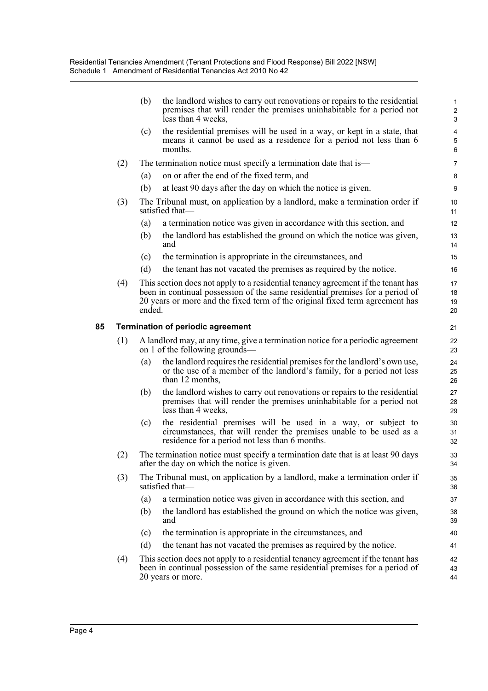|    |     | (b)    | the landlord wishes to carry out renovations or repairs to the residential<br>premises that will render the premises uninhabitable for a period not<br>less than 4 weeks,                                                                         | 1<br>$\overline{\mathbf{c}}$<br>3 |
|----|-----|--------|---------------------------------------------------------------------------------------------------------------------------------------------------------------------------------------------------------------------------------------------------|-----------------------------------|
|    |     | (c)    | the residential premises will be used in a way, or kept in a state, that<br>means it cannot be used as a residence for a period not less than 6<br>months.                                                                                        | 4<br>5<br>6                       |
|    | (2) |        | The termination notice must specify a termination date that is—                                                                                                                                                                                   | 7                                 |
|    |     | (a)    | on or after the end of the fixed term, and                                                                                                                                                                                                        | 8                                 |
|    |     | (b)    | at least 90 days after the day on which the notice is given.                                                                                                                                                                                      | 9                                 |
|    | (3) |        | The Tribunal must, on application by a landlord, make a termination order if<br>satisfied that-                                                                                                                                                   | 10<br>11                          |
|    |     | (a)    | a termination notice was given in accordance with this section, and                                                                                                                                                                               | 12                                |
|    |     | (b)    | the landlord has established the ground on which the notice was given,<br>and                                                                                                                                                                     | 13<br>14                          |
|    |     | (c)    | the termination is appropriate in the circumstances, and                                                                                                                                                                                          | 15                                |
|    |     | (d)    | the tenant has not vacated the premises as required by the notice.                                                                                                                                                                                | 16                                |
|    | (4) | ended. | This section does not apply to a residential tenancy agreement if the tenant has<br>been in continual possession of the same residential premises for a period of<br>20 years or more and the fixed term of the original fixed term agreement has | 17<br>18<br>19<br>20              |
| 85 |     |        | <b>Termination of periodic agreement</b>                                                                                                                                                                                                          | 21                                |
|    | (1) |        | A landlord may, at any time, give a termination notice for a periodic agreement<br>on 1 of the following grounds—                                                                                                                                 | 22<br>23                          |
|    |     | (a)    | the landlord requires the residential premises for the landlord's own use,<br>or the use of a member of the landlord's family, for a period not less<br>than 12 months,                                                                           | 24<br>25<br>26                    |
|    |     | (b)    | the landlord wishes to carry out renovations or repairs to the residential<br>premises that will render the premises uninhabitable for a period not<br>less than 4 weeks,                                                                         | 27<br>28<br>29                    |
|    |     | (c)    | the residential premises will be used in a way, or subject to<br>circumstances, that will render the premises unable to be used as a<br>residence for a period not less than 6 months.                                                            | 30<br>31<br>32                    |
|    | (2) |        | The termination notice must specify a termination date that is at least 90 days<br>after the day on which the notice is given.                                                                                                                    | 33<br>34                          |
|    | (3) |        | The Tribunal must, on application by a landlord, make a termination order if<br>satisfied that-                                                                                                                                                   | 35<br>36                          |
|    |     | (a)    | a termination notice was given in accordance with this section, and                                                                                                                                                                               | 37                                |
|    |     | (b)    | the landlord has established the ground on which the notice was given,<br>and                                                                                                                                                                     | 38<br>39                          |
|    |     | (c)    | the termination is appropriate in the circumstances, and                                                                                                                                                                                          | 40                                |
|    |     | (d)    | the tenant has not vacated the premises as required by the notice.                                                                                                                                                                                | 41                                |
|    | (4) |        | This section does not apply to a residential tenancy agreement if the tenant has<br>been in continual possession of the same residential premises for a period of<br>20 years or more.                                                            | 42<br>43<br>44                    |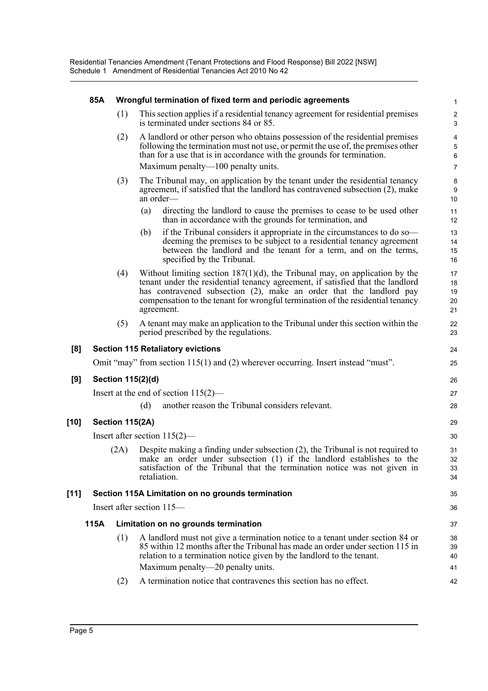|        | 85A  |                 | Wrongful termination of fixed term and periodic agreements                                                                                                                                                                                                                                                                              | 1                           |
|--------|------|-----------------|-----------------------------------------------------------------------------------------------------------------------------------------------------------------------------------------------------------------------------------------------------------------------------------------------------------------------------------------|-----------------------------|
|        |      | (1)             | This section applies if a residential tenancy agreement for residential premises<br>is terminated under sections 84 or 85.                                                                                                                                                                                                              | $\sqrt{2}$<br>3             |
|        |      | (2)             | A landlord or other person who obtains possession of the residential premises<br>following the termination must not use, or permit the use of, the premises other<br>than for a use that is in accordance with the grounds for termination.                                                                                             | $\overline{4}$<br>5<br>6    |
|        |      |                 | Maximum penalty—100 penalty units.                                                                                                                                                                                                                                                                                                      | $\overline{7}$              |
|        |      | (3)             | The Tribunal may, on application by the tenant under the residential tenancy<br>agreement, if satisfied that the landlord has contravened subsection (2), make<br>an order-                                                                                                                                                             | 8<br>$\boldsymbol{9}$<br>10 |
|        |      |                 | directing the landlord to cause the premises to cease to be used other<br>(a)<br>than in accordance with the grounds for termination, and                                                                                                                                                                                               | 11<br>12                    |
|        |      |                 | if the Tribunal considers it appropriate in the circumstances to do so—<br>(b)<br>deeming the premises to be subject to a residential tenancy agreement<br>between the landlord and the tenant for a term, and on the terms,<br>specified by the Tribunal.                                                                              | 13<br>14<br>15<br>16        |
|        |      | (4)             | Without limiting section $187(1)(d)$ , the Tribunal may, on application by the<br>tenant under the residential tenancy agreement, if satisfied that the landlord<br>has contravened subsection (2), make an order that the landlord pay<br>compensation to the tenant for wrongful termination of the residential tenancy<br>agreement. | 17<br>18<br>19<br>20<br>21  |
|        |      | (5)             | A tenant may make an application to the Tribunal under this section within the<br>period prescribed by the regulations.                                                                                                                                                                                                                 | 22<br>23                    |
| [8]    |      |                 | <b>Section 115 Retaliatory evictions</b>                                                                                                                                                                                                                                                                                                | 24                          |
|        |      |                 | Omit "may" from section $115(1)$ and (2) wherever occurring. Insert instead "must".                                                                                                                                                                                                                                                     | 25                          |
| [9]    |      |                 | Section 115(2)(d)                                                                                                                                                                                                                                                                                                                       | 26                          |
|        |      |                 | Insert at the end of section $115(2)$ —                                                                                                                                                                                                                                                                                                 | 27                          |
|        |      |                 | another reason the Tribunal considers relevant.<br>(d)                                                                                                                                                                                                                                                                                  | 28                          |
| $[10]$ |      | Section 115(2A) |                                                                                                                                                                                                                                                                                                                                         | 29                          |
|        |      |                 | Insert after section $115(2)$ —                                                                                                                                                                                                                                                                                                         | 30                          |
|        |      | (2A)            | Despite making a finding under subsection (2), the Tribunal is not required to<br>make an order under subsection (1) if the landlord establishes to the<br>satisfaction of the Tribunal that the termination notice was not given in<br>retaliation.                                                                                    | 31<br>32<br>33<br>34        |
| $[11]$ |      |                 | Section 115A Limitation on no grounds termination                                                                                                                                                                                                                                                                                       | 35                          |
|        |      |                 | Insert after section 115—                                                                                                                                                                                                                                                                                                               | 36                          |
|        | 115A |                 | Limitation on no grounds termination                                                                                                                                                                                                                                                                                                    | 37                          |
|        |      | (1)             | A landlord must not give a termination notice to a tenant under section 84 or<br>85 within 12 months after the Tribunal has made an order under section 115 in<br>relation to a termination notice given by the landlord to the tenant.<br>Maximum penalty—20 penalty units.                                                            | 38<br>39<br>40              |
|        |      | (2)             | A termination notice that contravenes this section has no effect.                                                                                                                                                                                                                                                                       | 41<br>42                    |
|        |      |                 |                                                                                                                                                                                                                                                                                                                                         |                             |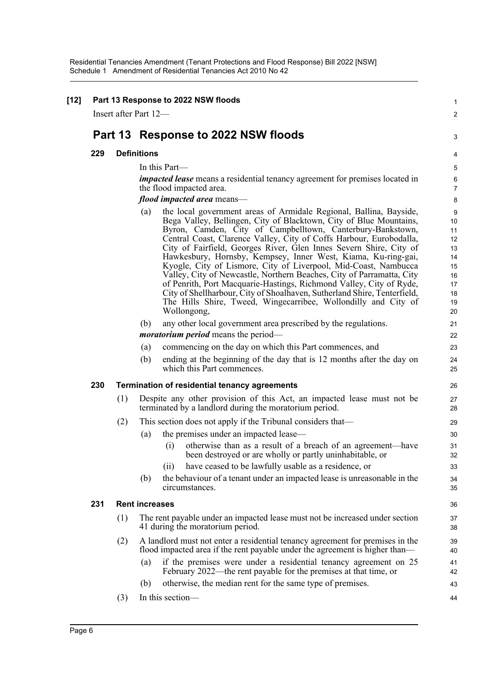| Part 13 Response to 2022 NSW floods<br>Insert after Part 12— |     |                                                                                                                                                                                                                                                                                                                                                                                                                                                                                                                                                                                                                                                                                                                                                                                                             |  |
|--------------------------------------------------------------|-----|-------------------------------------------------------------------------------------------------------------------------------------------------------------------------------------------------------------------------------------------------------------------------------------------------------------------------------------------------------------------------------------------------------------------------------------------------------------------------------------------------------------------------------------------------------------------------------------------------------------------------------------------------------------------------------------------------------------------------------------------------------------------------------------------------------------|--|
|                                                              |     | Part 13 Response to 2022 NSW floods                                                                                                                                                                                                                                                                                                                                                                                                                                                                                                                                                                                                                                                                                                                                                                         |  |
| 229                                                          |     | <b>Definitions</b>                                                                                                                                                                                                                                                                                                                                                                                                                                                                                                                                                                                                                                                                                                                                                                                          |  |
|                                                              |     | In this Part-                                                                                                                                                                                                                                                                                                                                                                                                                                                                                                                                                                                                                                                                                                                                                                                               |  |
|                                                              |     | impacted lease means a residential tenancy agreement for premises located in<br>the flood impacted area.                                                                                                                                                                                                                                                                                                                                                                                                                                                                                                                                                                                                                                                                                                    |  |
|                                                              |     | flood impacted area means-                                                                                                                                                                                                                                                                                                                                                                                                                                                                                                                                                                                                                                                                                                                                                                                  |  |
|                                                              |     | the local government areas of Armidale Regional, Ballina, Bayside,<br>(a)<br>Bega Valley, Bellingen, City of Blacktown, City of Blue Mountains,<br>Byron, Camden, City of Campbelltown, Canterbury-Bankstown,<br>Central Coast, Clarence Valley, City of Coffs Harbour, Eurobodalla,<br>City of Fairfield, Georges River, Glen Innes Severn Shire, City of<br>Hawkesbury, Hornsby, Kempsey, Inner West, Kiama, Ku-ring-gai,<br>Kyogle, City of Lismore, City of Liverpool, Mid-Coast, Nambucca<br>Valley, City of Newcastle, Northern Beaches, City of Parramatta, City<br>of Penrith, Port Macquarie-Hastings, Richmond Valley, City of Ryde,<br>City of Shellharbour, City of Shoalhaven, Sutherland Shire, Tenterfield,<br>The Hills Shire, Tweed, Wingecarribee, Wollondilly and City of<br>Wollongong, |  |
|                                                              |     | (b)<br>any other local government area prescribed by the regulations.                                                                                                                                                                                                                                                                                                                                                                                                                                                                                                                                                                                                                                                                                                                                       |  |
|                                                              |     | <i>moratorium period</i> means the period—                                                                                                                                                                                                                                                                                                                                                                                                                                                                                                                                                                                                                                                                                                                                                                  |  |
|                                                              |     | commencing on the day on which this Part commences, and<br>(a)<br>(b)<br>ending at the beginning of the day that is 12 months after the day on<br>which this Part commences.                                                                                                                                                                                                                                                                                                                                                                                                                                                                                                                                                                                                                                |  |
| 230                                                          |     | Termination of residential tenancy agreements                                                                                                                                                                                                                                                                                                                                                                                                                                                                                                                                                                                                                                                                                                                                                               |  |
|                                                              | (1) | Despite any other provision of this Act, an impacted lease must not be<br>terminated by a landlord during the moratorium period.                                                                                                                                                                                                                                                                                                                                                                                                                                                                                                                                                                                                                                                                            |  |
|                                                              | (2) | This section does not apply if the Tribunal considers that—                                                                                                                                                                                                                                                                                                                                                                                                                                                                                                                                                                                                                                                                                                                                                 |  |
|                                                              |     | the premises under an impacted lease—<br>(a)<br>otherwise than as a result of a breach of an agreement—have<br>(i)<br>been destroyed or are wholly or partly uninhabitable, or                                                                                                                                                                                                                                                                                                                                                                                                                                                                                                                                                                                                                              |  |
|                                                              |     | have ceased to be lawfully usable as a residence, or<br>(ii)<br>the behaviour of a tenant under an impacted lease is unreasonable in the<br>(b)<br>circumstances.                                                                                                                                                                                                                                                                                                                                                                                                                                                                                                                                                                                                                                           |  |
| 231                                                          |     | <b>Rent increases</b>                                                                                                                                                                                                                                                                                                                                                                                                                                                                                                                                                                                                                                                                                                                                                                                       |  |
|                                                              | (1) | The rent payable under an impacted lease must not be increased under section<br>41 during the moratorium period.                                                                                                                                                                                                                                                                                                                                                                                                                                                                                                                                                                                                                                                                                            |  |
|                                                              | (2) | A landlord must not enter a residential tenancy agreement for premises in the<br>flood impacted area if the rent payable under the agreement is higher than—<br>if the premises were under a residential tenancy agreement on 25<br>(a)<br>February 2022—the rent payable for the premises at that time, or                                                                                                                                                                                                                                                                                                                                                                                                                                                                                                 |  |
|                                                              |     | otherwise, the median rent for the same type of premises.<br>(b)                                                                                                                                                                                                                                                                                                                                                                                                                                                                                                                                                                                                                                                                                                                                            |  |
|                                                              | (3) | In this section-                                                                                                                                                                                                                                                                                                                                                                                                                                                                                                                                                                                                                                                                                                                                                                                            |  |